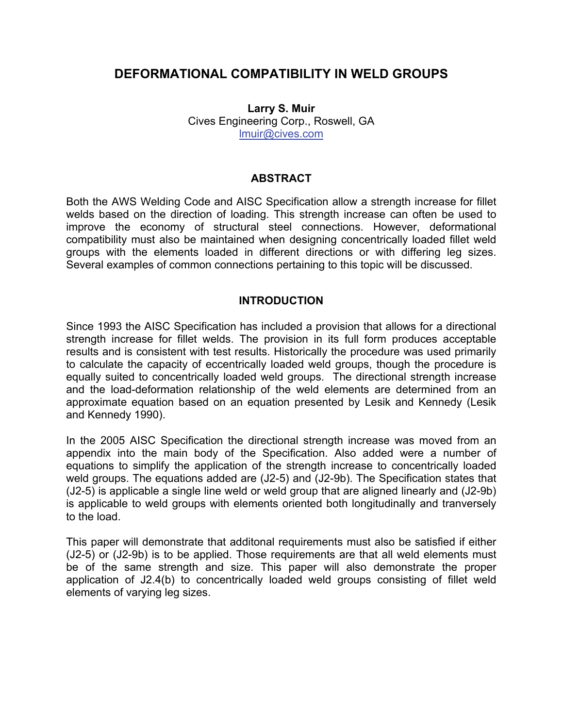# **DEFORMATIONAL COMPATIBILITY IN WELD GROUPS**

**Larry S. Muir**  Cives Engineering Corp., Roswell, GA lmuir@cives.com

# **ABSTRACT**

Both the AWS Welding Code and AISC Specification allow a strength increase for fillet welds based on the direction of loading. This strength increase can often be used to improve the economy of structural steel connections. However, deformational compatibility must also be maintained when designing concentrically loaded fillet weld groups with the elements loaded in different directions or with differing leg sizes. Several examples of common connections pertaining to this topic will be discussed.

### **INTRODUCTION**

Since 1993 the AISC Specification has included a provision that allows for a directional strength increase for fillet welds. The provision in its full form produces acceptable results and is consistent with test results. Historically the procedure was used primarily to calculate the capacity of eccentrically loaded weld groups, though the procedure is equally suited to concentrically loaded weld groups. The directional strength increase and the load-deformation relationship of the weld elements are determined from an approximate equation based on an equation presented by Lesik and Kennedy (Lesik and Kennedy 1990).

In the 2005 AISC Specification the directional strength increase was moved from an appendix into the main body of the Specification. Also added were a number of equations to simplify the application of the strength increase to concentrically loaded weld groups. The equations added are (J2-5) and (J2-9b). The Specification states that (J2-5) is applicable a single line weld or weld group that are aligned linearly and (J2-9b) is applicable to weld groups with elements oriented both longitudinally and tranversely to the load.

This paper will demonstrate that additonal requirements must also be satisfied if either (J2-5) or (J2-9b) is to be applied. Those requirements are that all weld elements must be of the same strength and size. This paper will also demonstrate the proper application of J2.4(b) to concentrically loaded weld groups consisting of fillet weld elements of varying leg sizes.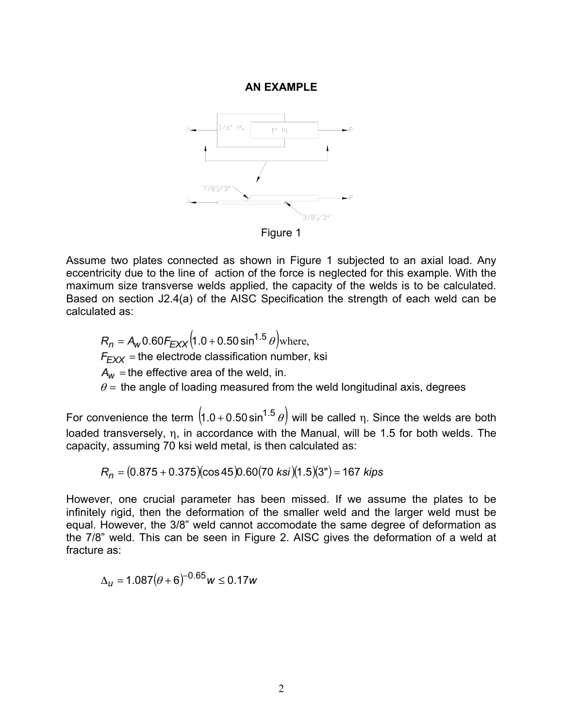#### **AN EXAMPLE**



Assume two plates connected as shown in Figure 1 subjected to an axial load. Any eccentricity due to the line of action of the force is neglected for this example. With the maximum size transverse welds applied, the capacity of the welds is to be calculated. Based on section J2.4(a) of the AISC Specification the strength of each weld can be calculated as:

 $R_n = A_w 0.60 F_{EXX} (1.0 + 0.50 \sin^{1.5} \theta)$  where,  $F_{EXX}$  = the electrode classification number, ksi  $A_w$  = the effective area of the weld, in.  $\theta$  = the angle of loading measured from the weld longitudinal axis, degrees

For convenience the term  $(1.0 + 0.50 \sin^{1.5} \theta)$  will be called η. Since the welds are both loaded transversely, η, in accordance with the Manual, will be 1.5 for both welds. The capacity, assuming 70 ksi weld metal, is then calculated as:

 $R_n = (0.875 + 0.375)(\cos 45)0.60(70 \text{ ks})/(1.5)(3") = 167 \text{ kips}$ 

However, one crucial parameter has been missed. If we assume the plates to be infinitely rigid, then the deformation of the smaller weld and the larger weld must be equal. However, the 3/8" weld cannot accomodate the same degree of deformation as the 7/8" weld. This can be seen in Figure 2. AISC gives the deformation of a weld at fracture as:

$$
\Delta_u = 1.087(\theta + 6)^{-0.65}w \le 0.17w
$$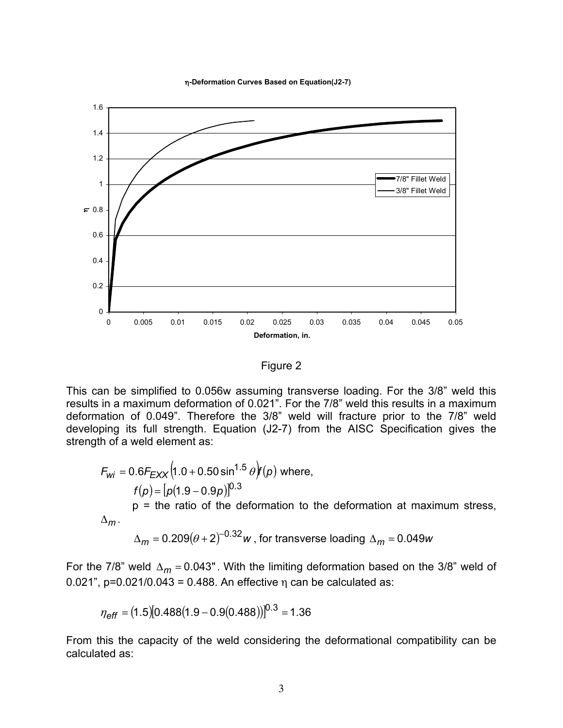η**-Deformation Curves Based on Equation(J2-7)**



Figure 2

This can be simplified to 0.056w assuming transverse loading. For the 3/8" weld this results in a maximum deformation of 0.021". For the 7/8" weld this results in a maximum deformation of 0.049". Therefore the 3/8" weld will fracture prior to the 7/8" weld developing its full strength. Equation (J2-7) from the AISC Specification gives the strength of a weld element as:

$$
F_{wi} = 0.6F_{EXX} (1.0 + 0.50 \sin^{1.5} \theta)(p)
$$
 where,  
\n
$$
f(p) = [p(1.9 - 0.9p)]^{0.3}
$$
  
\np = the ratio of the deformation to the deformation at maximum stress,  
\n
$$
\Delta_m
$$
.

 $\Delta_m$  = 0.209( $\theta$  + 2)  $\mu$   $\sim$  *w*  $\mu$ , for transverse loading  $\Delta_m$  = 0.049*w* 

For the 7/8" weld  $\Delta_m = 0.043$ ". With the limiting deformation based on the 3/8" weld of 0.021",  $p=0.021/0.043 = 0.488$ . An effective  $n$  can be calculated as:

$$
\eta_{\text{eff}} = (1.5)[0.488(1.9 - 0.9(0.488))]^{0.3} = 1.36
$$

From this the capacity of the weld considering the deformational compatibility can be calculated as: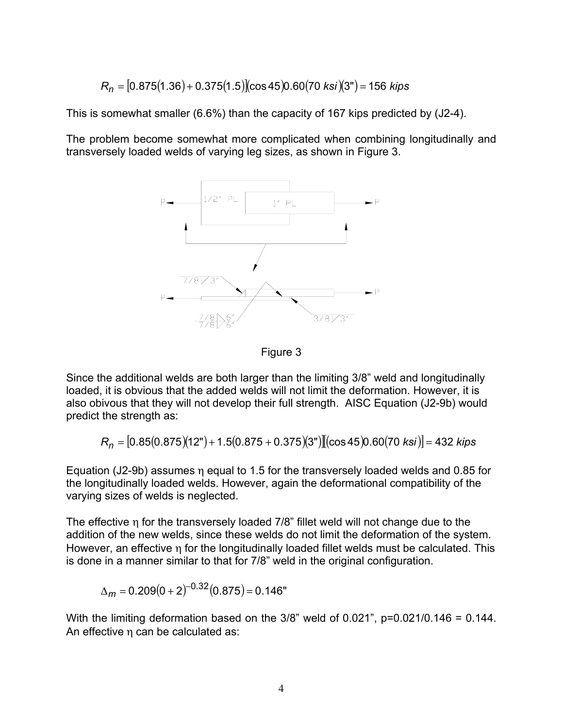$$
R_n = [0.875(1.36) + 0.375(1.5)](\cos 45)0.60(70 \text{ ks})](3") = 156 \text{ kips}
$$

This is somewhat smaller (6.6%) than the capacity of 167 kips predicted by (J2-4).

The problem become somewhat more complicated when combining longitudinally and transversely loaded welds of varying leg sizes, as shown in Figure 3.



Figure 3

Since the additional welds are both larger than the limiting 3/8" weld and longitudinally loaded, it is obvious that the added welds will not limit the deformation. However, it is also obivous that they will not develop their full strength. AISC Equation (J2-9b) would predict the strength as:

$$
R_n = [0.85(0.875)(12") + 1.5(0.875 + 0.375)(3")][(cos 45)0.60(70 ksi)] = 432 kips
$$

Equation (J2-9b) assumes η equal to 1.5 for the transversely loaded welds and 0.85 for the longitudinally loaded welds. However, again the deformational compatibility of the varying sizes of welds is neglected.

The effective η for the transversely loaded 7/8" fillet weld will not change due to the addition of the new welds, since these welds do not limit the deformation of the system. However, an effective η for the longitudinally loaded fillet welds must be calculated. This is done in a manner similar to that for 7/8" weld in the original configuration.

$$
\Delta_m = 0.209(0+2)^{-0.32}(0.875) = 0.146"
$$

With the limiting deformation based on the  $3/8$ " weld of 0.021", p=0.021/0.146 = 0.144. An effective  $\eta$  can be calculated as: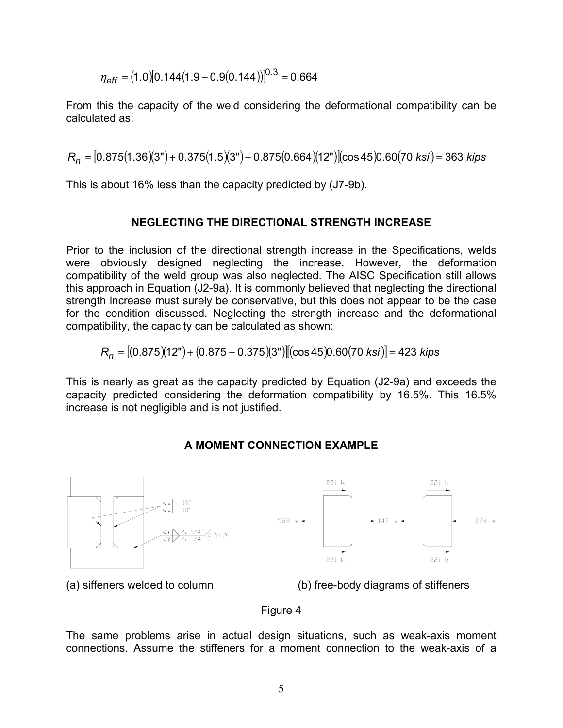$$
\eta_{\text{eff}} = (1.0)[0.144(1.9 - 0.9(0.144))]^{0.3} = 0.664
$$

From this the capacity of the weld considering the deformational compatibility can be calculated as:

 $R_n = [0.875(1.36)(3") + 0.375(1.5)(3") + 0.875(0.664)(12")$ (cos 45)0.60(70 ksi) = 363 kips

This is about 16% less than the capacity predicted by (J7-9b).

## **NEGLECTING THE DIRECTIONAL STRENGTH INCREASE**

Prior to the inclusion of the directional strength increase in the Specifications, welds were obviously designed neglecting the increase. However, the deformation compatibility of the weld group was also neglected. The AISC Specification still allows this approach in Equation (J2-9a). It is commonly believed that neglecting the directional strength increase must surely be conservative, but this does not appear to be the case for the condition discussed. Neglecting the strength increase and the deformational compatibility, the capacity can be calculated as shown:

$$
R_n = [(0.875)(12") + (0.875 + 0.375)(3")][(cos 45)0.60(70 ksi)] = 423 kips
$$

This is nearly as great as the capacity predicted by Equation (J2-9a) and exceeds the capacity predicted considering the deformation compatibility by 16.5%. This 16.5% increase is not negligible and is not justified.

## **A MOMENT CONNECTION EXAMPLE**



(a) siffeners welded to column (b) free-body diagrams of stiffeners

### Figure 4

The same problems arise in actual design situations, such as weak-axis moment connections. Assume the stiffeners for a moment connection to the weak-axis of a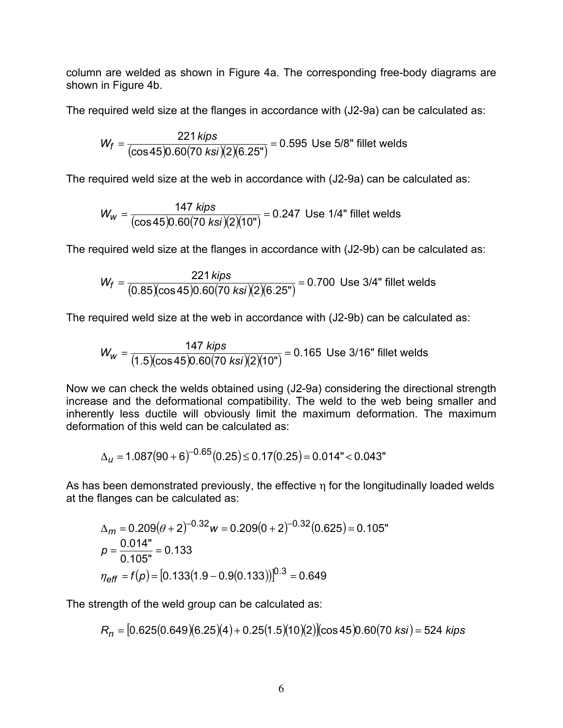column are welded as shown in Figure 4a. The corresponding free-body diagrams are shown in Figure 4b.

The required weld size at the flanges in accordance with (J2-9a) can be calculated as:

$$
W_f = \frac{221 \text{ kips}}{(\cos 45)0.60(70 \text{ ks}) (2)(6.25^{\circ})} = 0.595 \text{ Use } 5/8^{\circ} \text{ filled wells}
$$

The required weld size at the web in accordance with (J2-9a) can be calculated as:

$$
W_W = \frac{147 \text{ kips}}{(\cos 45)0.60(70 \text{ ks}) (2)(10\text{ m})} = 0.247 \text{ Use } 1/4\text{ m filter wells}
$$

The required weld size at the flanges in accordance with (J2-9b) can be calculated as:

$$
W_f = \frac{221 \text{ kips}}{(0.85)(\cos 45)0.60(70 \text{ ksi})(2)(6.25^{\circ})} = 0.700 \text{ Use } 3/4^{\circ} \text{ filled wells}
$$

The required weld size at the web in accordance with (J2-9b) can be calculated as:

$$
W_W = \frac{147 \text{ kips}}{(1.5)(\cos 45)0.60(70 \text{ ks}) (2)(10")} = 0.165 \text{ Use } 3/16" \text{ filled wells}
$$

Now we can check the welds obtained using (J2-9a) considering the directional strength increase and the deformational compatibility. The weld to the web being smaller and inherently less ductile will obviously limit the maximum deformation. The maximum deformation of this weld can be calculated as:

$$
\Delta_{\text{U}} = 1.087(90+6)^{-0.65}(0.25) \le 0.17(0.25) = 0.014" < 0.043"
$$

As has been demonstrated previously, the effective η for the longitudinally loaded welds at the flanges can be calculated as:

$$
\Delta_m = 0.209(\theta + 2)^{-0.32}w = 0.209(0 + 2)^{-0.32}(0.625) = 0.105^{\circ}
$$
  

$$
p = \frac{0.014^{\circ}}{0.105^{\circ}} = 0.133
$$
  

$$
\eta_{\text{eff}} = f(p) = [0.133(1.9 - 0.9(0.133))]^{0.3} = 0.649
$$

The strength of the weld group can be calculated as:

$$
R_n = [0.625(0.649)(6.25)(4) + 0.25(1.5)(10)(2)](\cos 45)0.60(70 \text{ ksi}) = 524 \text{ kips}
$$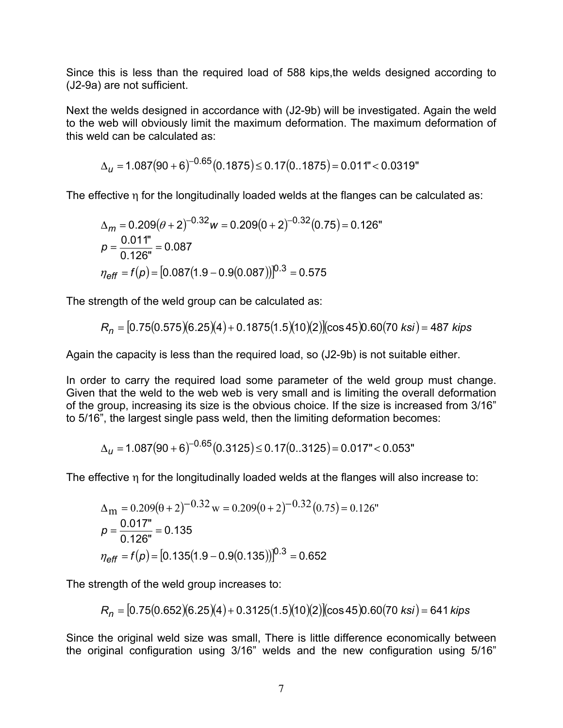Since this is less than the required load of 588 kips,the welds designed according to (J2-9a) are not sufficient.

Next the welds designed in accordance with (J2-9b) will be investigated. Again the weld to the web will obviously limit the maximum deformation. The maximum deformation of this weld can be calculated as:

$$
\Delta_{\mathcal{U}} = 1.087(90+6)^{-0.65}(0.1875) \le 0.17(0..1875) = 0.011" < 0.0319"
$$

The effective η for the longitudinally loaded welds at the flanges can be calculated as:

$$
\Delta_m = 0.209(\theta + 2)^{-0.32}w = 0.209(0 + 2)^{-0.32}(0.75) = 0.126^{\circ}
$$
  
\n
$$
p = \frac{0.011^{\circ}}{0.126^{\circ}} = 0.087
$$
  
\n
$$
\eta_{\text{eff}} = f(p) = [0.087(1.9 - 0.9(0.087))]^{0.3} = 0.575
$$

The strength of the weld group can be calculated as:

$$
R_n = [0.75(0.575)(6.25)(4) + 0.1875(1.5)(10)(2)](\cos 45)0.60(70 \text{ ks}) = 487 \text{ kips}
$$

Again the capacity is less than the required load, so (J2-9b) is not suitable either.

In order to carry the required load some parameter of the weld group must change. Given that the weld to the web web is very small and is limiting the overall deformation of the group, increasing its size is the obvious choice. If the size is increased from 3/16" to 5/16", the largest single pass weld, then the limiting deformation becomes:

$$
\Delta_{\mathcal{U}} = 1.087(90+6)^{-0.65}(0.3125) \le 0.17(0..3125) = 0.017" < 0.053"
$$

The effective η for the longitudinally loaded welds at the flanges will also increase to:

$$
\Delta_{\rm m} = 0.209(\theta + 2)^{-0.32} \,\mathrm{w} = 0.209(0 + 2)^{-0.32}(0.75) = 0.126^{\circ}
$$
\n
$$
p = \frac{0.017^{\circ}}{0.126^{\circ}} = 0.135
$$
\n
$$
\eta_{\text{eff}} = f(p) = [0.135(1.9 - 0.9(0.135))]^{0.3} = 0.652
$$

The strength of the weld group increases to:

$$
R_n = [0.75(0.652)(6.25)(4) + 0.3125(1.5)(10)(2)](\cos 45)0.60(70 \text{ ks}) = 641 \text{ kips}
$$

Since the original weld size was small, There is little difference economically between the original configuration using 3/16" welds and the new configuration using 5/16"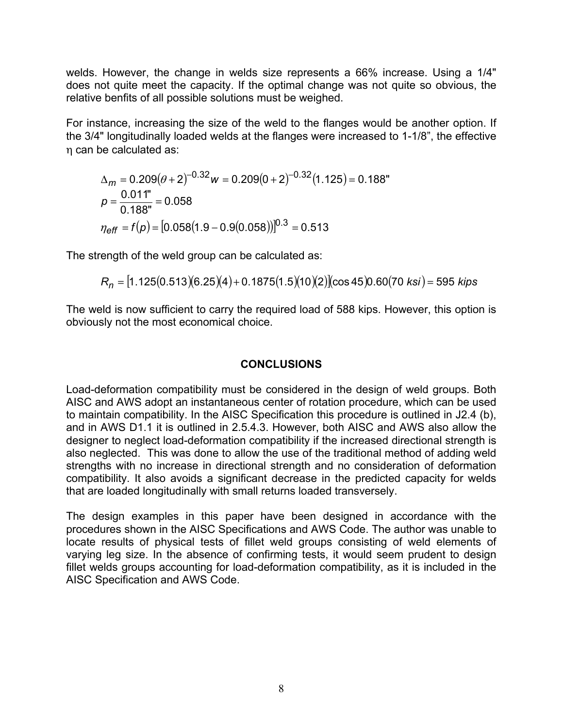welds. However, the change in welds size represents a 66% increase. Using a 1/4" does not quite meet the capacity. If the optimal change was not quite so obvious, the relative benfits of all possible solutions must be weighed.

For instance, increasing the size of the weld to the flanges would be another option. If the 3/4" longitudinally loaded welds at the flanges were increased to 1-1/8", the effective η can be calculated as:

$$
\Delta_m = 0.209(\theta + 2)^{-0.32}w = 0.209(0 + 2)^{-0.32}(1.125) = 0.188^{\circ}
$$
  
\n
$$
p = \frac{0.011^{\circ}}{0.188^{\circ}} = 0.058
$$
  
\n
$$
\eta_{\text{eff}} = f(p) = [0.058(1.9 - 0.9(0.058))]^{0.3} = 0.513
$$

The strength of the weld group can be calculated as:

$$
R_n = [1.125(0.513)(6.25)(4) + 0.1875(1.5)(10)(2)](\cos 45)0.60(70 \text{ ks}) = 595 \text{ kips}
$$

The weld is now sufficient to carry the required load of 588 kips. However, this option is obviously not the most economical choice.

# **CONCLUSIONS**

Load-deformation compatibility must be considered in the design of weld groups. Both AISC and AWS adopt an instantaneous center of rotation procedure, which can be used to maintain compatibility. In the AISC Specification this procedure is outlined in J2.4 (b), and in AWS D1.1 it is outlined in 2.5.4.3. However, both AISC and AWS also allow the designer to neglect load-deformation compatibility if the increased directional strength is also neglected. This was done to allow the use of the traditional method of adding weld strengths with no increase in directional strength and no consideration of deformation compatibility. It also avoids a significant decrease in the predicted capacity for welds that are loaded longitudinally with small returns loaded transversely.

The design examples in this paper have been designed in accordance with the procedures shown in the AISC Specifications and AWS Code. The author was unable to locate results of physical tests of fillet weld groups consisting of weld elements of varying leg size. In the absence of confirming tests, it would seem prudent to design fillet welds groups accounting for load-deformation compatibility, as it is included in the AISC Specification and AWS Code.